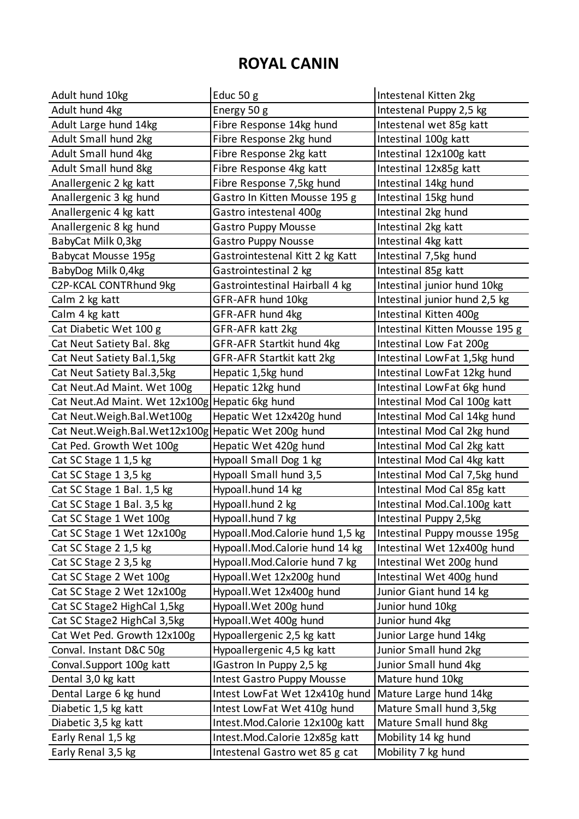## **ROYAL CANIN**

| Energy 50 g<br>Adult hund 4kg<br>Intestenal Puppy 2,5 kg<br>Adult Large hund 14kg<br>Fibre Response 14kg hund<br>Intestenal wet 85g katt<br>Adult Small hund 2kg<br>Fibre Response 2kg hund<br>Intestinal 100g katt<br>Adult Small hund 4kg<br>Fibre Response 2kg katt<br>Intestinal 12x100g katt<br>Adult Small hund 8kg<br>Fibre Response 4kg katt<br>Intestinal 12x85g katt |  |
|--------------------------------------------------------------------------------------------------------------------------------------------------------------------------------------------------------------------------------------------------------------------------------------------------------------------------------------------------------------------------------|--|
|                                                                                                                                                                                                                                                                                                                                                                                |  |
|                                                                                                                                                                                                                                                                                                                                                                                |  |
|                                                                                                                                                                                                                                                                                                                                                                                |  |
|                                                                                                                                                                                                                                                                                                                                                                                |  |
|                                                                                                                                                                                                                                                                                                                                                                                |  |
| Anallergenic 2 kg katt<br>Fibre Response 7,5kg hund<br>Intestinal 14kg hund                                                                                                                                                                                                                                                                                                    |  |
| Anallergenic 3 kg hund<br>Intestinal 15kg hund<br>Gastro In Kitten Mousse 195 g                                                                                                                                                                                                                                                                                                |  |
| Anallergenic 4 kg katt<br>Intestinal 2kg hund<br>Gastro intestenal 400g                                                                                                                                                                                                                                                                                                        |  |
| Anallergenic 8 kg hund<br><b>Gastro Puppy Mousse</b><br>Intestinal 2kg katt                                                                                                                                                                                                                                                                                                    |  |
| BabyCat Milk 0,3kg<br>Intestinal 4kg katt<br>Gastro Puppy Nousse                                                                                                                                                                                                                                                                                                               |  |
| Babycat Mousse 195g<br>Gastrointestenal Kitt 2 kg Katt<br>Intestinal 7,5kg hund                                                                                                                                                                                                                                                                                                |  |
| BabyDog Milk 0,4kg<br>Intestinal 85g katt<br>Gastrointestinal 2 kg                                                                                                                                                                                                                                                                                                             |  |
| C2P-KCAL CONTRhund 9kg<br>Gastrointestinal Hairball 4 kg<br>Intestinal junior hund 10kg                                                                                                                                                                                                                                                                                        |  |
| GFR-AFR hund 10kg<br>Intestinal junior hund 2,5 kg<br>Calm 2 kg katt                                                                                                                                                                                                                                                                                                           |  |
| Intestinal Kitten 400g<br>Calm 4 kg katt<br>GFR-AFR hund 4kg                                                                                                                                                                                                                                                                                                                   |  |
| Intestinal Kitten Mousse 195 g<br>Cat Diabetic Wet 100 g<br>GFR-AFR katt 2kg                                                                                                                                                                                                                                                                                                   |  |
| GFR-AFR Startkit hund 4kg<br>Intestinal Low Fat 200g<br>Cat Neut Satiety Bal. 8kg                                                                                                                                                                                                                                                                                              |  |
| Cat Neut Satiety Bal.1,5kg<br>GFR-AFR Startkit katt 2kg<br>Intestinal LowFat 1,5kg hund                                                                                                                                                                                                                                                                                        |  |
| Intestinal LowFat 12kg hund<br>Cat Neut Satiety Bal.3,5kg<br>Hepatic 1,5kg hund                                                                                                                                                                                                                                                                                                |  |
| Hepatic 12kg hund<br>Intestinal LowFat 6kg hund<br>Cat Neut.Ad Maint. Wet 100g                                                                                                                                                                                                                                                                                                 |  |
| Intestinal Mod Cal 100g katt<br>Cat Neut.Ad Maint. Wet 12x100g Hepatic 6kg hund                                                                                                                                                                                                                                                                                                |  |
| Intestinal Mod Cal 14kg hund<br>Cat Neut. Weigh. Bal. Wet100g<br>Hepatic Wet 12x420g hund                                                                                                                                                                                                                                                                                      |  |
| Intestinal Mod Cal 2kg hund<br>Cat Neut. Weigh. Bal. Wet 12x100g<br>Hepatic Wet 200g hund                                                                                                                                                                                                                                                                                      |  |
| Cat Ped. Growth Wet 100g<br>Hepatic Wet 420g hund<br>Intestinal Mod Cal 2kg katt                                                                                                                                                                                                                                                                                               |  |
| Hypoall Small Dog 1 kg<br>Intestinal Mod Cal 4kg katt<br>Cat SC Stage 1 1,5 kg                                                                                                                                                                                                                                                                                                 |  |
| Hypoall Small hund 3,5<br>Cat SC Stage 1 3,5 kg<br>Intestinal Mod Cal 7,5kg hund                                                                                                                                                                                                                                                                                               |  |
| Cat SC Stage 1 Bal. 1,5 kg<br>Hypoall.hund 14 kg<br>Intestinal Mod Cal 85g katt                                                                                                                                                                                                                                                                                                |  |
| Hypoall.hund 2 kg<br>Cat SC Stage 1 Bal. 3,5 kg<br>Intestinal Mod.Cal.100g katt                                                                                                                                                                                                                                                                                                |  |
| Cat SC Stage 1 Wet 100g<br>Hypoall.hund 7 kg<br>Intestinal Puppy 2,5kg                                                                                                                                                                                                                                                                                                         |  |
| Intestinal Puppy mousse 195g<br>Cat SC Stage 1 Wet 12x100g<br>Hypoall.Mod.Calorie hund 1,5 kg                                                                                                                                                                                                                                                                                  |  |
| Cat SC Stage 2 1,5 kg<br>Hypoall.Mod.Calorie hund 14 kg<br>Intestinal Wet 12x400g hund                                                                                                                                                                                                                                                                                         |  |
| Cat SC Stage 2 3,5 kg<br>Hypoall.Mod.Calorie hund 7 kg<br>Intestinal Wet 200g hund                                                                                                                                                                                                                                                                                             |  |
| Cat SC Stage 2 Wet 100g<br>Hypoall. Wet 12x200g hund<br>Intestinal Wet 400g hund                                                                                                                                                                                                                                                                                               |  |
| Cat SC Stage 2 Wet 12x100g<br>Hypoall. Wet 12x400g hund<br>Junior Giant hund 14 kg                                                                                                                                                                                                                                                                                             |  |
| Junior hund 10kg<br>Cat SC Stage2 HighCal 1,5kg<br>Hypoall. Wet 200g hund                                                                                                                                                                                                                                                                                                      |  |
| Hypoall. Wet 400g hund<br>Junior hund 4kg<br>Cat SC Stage2 HighCal 3,5kg                                                                                                                                                                                                                                                                                                       |  |
| Cat Wet Ped. Growth 12x100g<br>Junior Large hund 14kg<br>Hypoallergenic 2,5 kg katt                                                                                                                                                                                                                                                                                            |  |
| Conval. Instant D&C 50g<br>Hypoallergenic 4,5 kg katt<br>Junior Small hund 2kg                                                                                                                                                                                                                                                                                                 |  |
| Junior Small hund 4kg<br>Conval.Support 100g katt<br>IGastron In Puppy 2,5 kg                                                                                                                                                                                                                                                                                                  |  |
| Mature hund 10kg<br>Dental 3,0 kg katt<br><b>Intest Gastro Puppy Mousse</b>                                                                                                                                                                                                                                                                                                    |  |
| Dental Large 6 kg hund<br>Mature Large hund 14kg<br>Intest LowFat Wet 12x410g hund                                                                                                                                                                                                                                                                                             |  |
| Mature Small hund 3,5kg<br>Diabetic 1,5 kg katt<br>Intest LowFat Wet 410g hund                                                                                                                                                                                                                                                                                                 |  |
| Mature Small hund 8kg<br>Diabetic 3,5 kg katt<br>Intest.Mod.Calorie 12x100g katt                                                                                                                                                                                                                                                                                               |  |
| Mobility 14 kg hund<br>Early Renal 1,5 kg<br>Intest.Mod.Calorie 12x85g katt                                                                                                                                                                                                                                                                                                    |  |
| Early Renal 3,5 kg<br>Mobility 7 kg hund<br>Intestenal Gastro wet 85 g cat                                                                                                                                                                                                                                                                                                     |  |